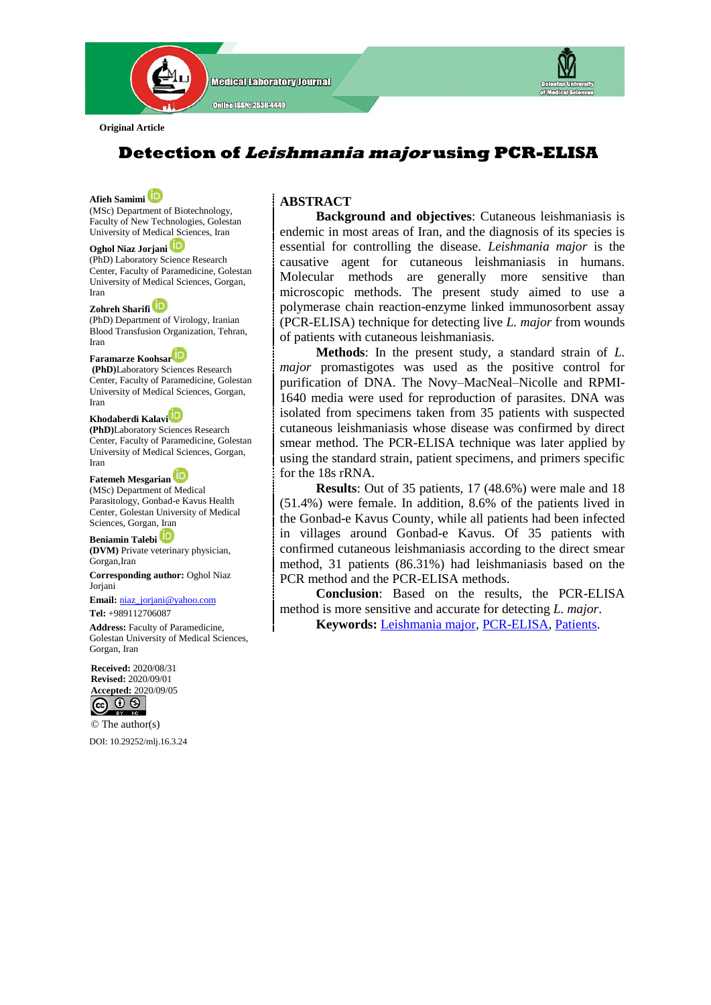

**Original Article**

# **Detection of Leishmania major using PCR-ELISA**

**Afieh Samimi**  (MSc) Department of Biotechnology, Faculty of New Technologies, Golestan University of Medical Sciences, Iran

#### **Oghol Niaz Jorjani**

(PhD) Laboratory Science Research Center, Faculty of Paramedicine, Golestan University of Medical Sciences, Gorgan, Iran

**Zohreh Sharifi**  (PhD) Department of Virology, Iranian Blood Transfusion Organization, Tehran,

Iran **Faramarze Koohsa[r](https://orcid.org/0000-0003-1044-4791)**

**(PhD)**Laboratory Sciences Research Center, Faculty of Paramedicine, Golestan University of Medical Sciences, Gorgan, Iran

#### **Khodaberdi Kalav[i](https://orcid.org/0000-0001-7577-5888)**

**(PhD)**Laboratory Sciences Research Center, Faculty of Paramedicine, Golestan University of Medical Sciences, Gorgan, Iran

#### **Fatemeh Mesgarian**

(MSc) Department of Medical Parasitology, Gonbad-e Kavus Health Center, Golestan University of Medical Sciences, Gorgan, Iran

**Beniamin Talebi (DVM)** Private veterinary physician, Gorgan,Iran

**Corresponding author:** Oghol Niaz **Joriani** 

**Email:** [niaz\\_jorjani@yahoo.com](mailto:niaz_jorjani@yahoo.com) **Tel:** +989112706087

**Address:** Faculty of Paramedicine, Golestan University of Medical Sciences, Gorgan, Iran



© The author(s) DOI[: 10.29252/mlj.16.3.24](file:///E:/semnani/2020/4%20Jul-Aug%202020/1-article%20A-10-913-1-nasir/10.29252/mlj.14.4.1)

# **ABSTRACT**

 **Background and objectives**: Cutaneous leishmaniasis is endemic in most areas of Iran, and the diagnosis of its species is essential for controlling the disease. *Leishmania major* is the causative agent for cutaneous leishmaniasis in humans. Molecular methods are generally more sensitive than microscopic methods. The present study aimed to use a polymerase chain reaction-enzyme linked immunosorbent assay (PCR-ELISA) technique for detecting live *L. major* from wounds of patients with cutaneous leishmaniasis.

 **Methods**: In the present study, a standard strain of *L. major* promastigotes was used as the positive control for purification of DNA. The Novy–MacNeal–Nicolle and RPMI-1640 media were used for reproduction of parasites. DNA was isolated from specimens taken from 35 patients with suspected cutaneous leishmaniasis whose disease was confirmed by direct smear method. The PCR-ELISA technique was later applied by using the standard strain, patient specimens, and primers specific for the 18s rRNA.

 **Results**: Out of 35 patients, 17 (48.6%) were male and 18 (51.4%) were female. In addition, 8.6% of the patients lived in the Gonbad-e Kavus County, while all patients had been infected in villages around Gonbad-e Kavus. Of 35 patients with confirmed cutaneous leishmaniasis according to the direct smear method, 31 patients (86.31%) had leishmaniasis based on the PCR method and the PCR-ELISA methods.

 **Conclusion**: Based on the results, the PCR-ELISA method is more sensitive and accurate for detecting *L. major*.

 **Keywords:** [Leishmania major,](https://www.ncbi.nlm.nih.gov/mesh/68018320) [PCR-ELISA,](https://www.ncbi.nlm.nih.gov/mesh/68016133) [Patients.](https://www.ncbi.nlm.nih.gov/mesh/68010361)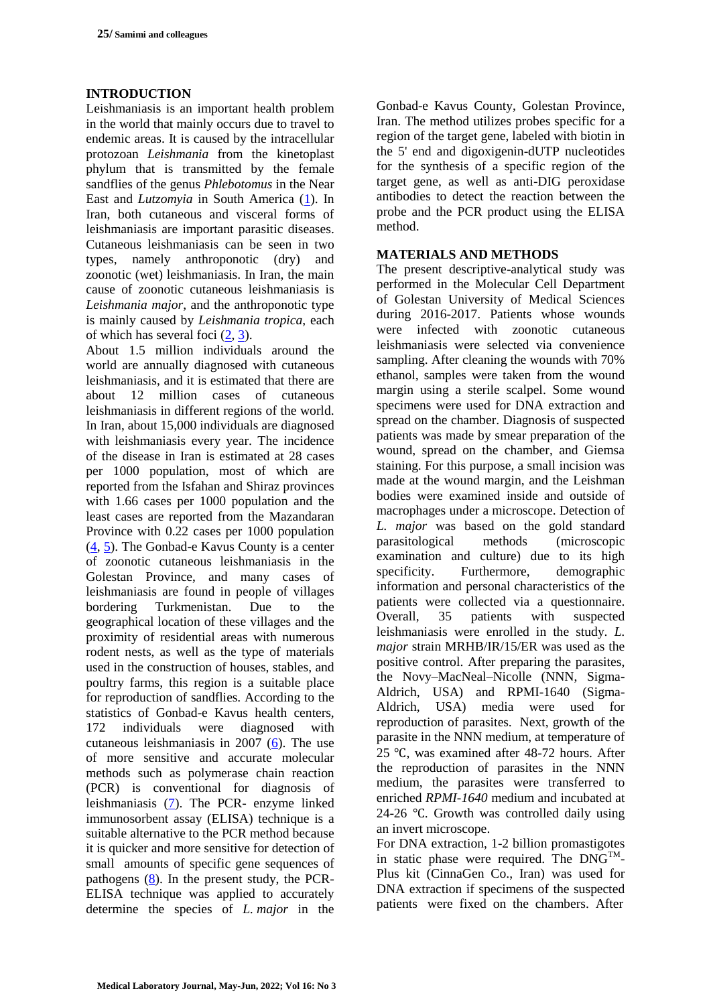# **INTRODUCTION**

Leishmaniasis is an important health problem in the world that mainly occurs due to travel to endemic areas. It is caused by the intracellular protozoan *Leishmania* from the kinetoplast phylum that is transmitted by the female sandflies of the genus *Phlebotomus* in the Near East and *Lutzomyia* in South America [\(1\)](#page-4-0). In Iran, both cutaneous and visceral forms of leishmaniasis are important parasitic diseases. Cutaneous leishmaniasis can be seen in two types, namely anthroponotic (dry) and zoonotic (wet) leishmaniasis. In Iran, the main cause of zoonotic cutaneous leishmaniasis is *Leishmania major*, and the anthroponotic type is mainly caused by *Leishmania tropica*, each of which has several foci [\(2,](#page-4-1) [3\)](#page-4-2).

About 1.5 million individuals around the world are annually diagnosed with cutaneous leishmaniasis, and it is estimated that there are about 12 million cases of cutaneous leishmaniasis in different regions of the world. In Iran, about 15,000 individuals are diagnosed with leishmaniasis every year. The incidence of the disease in Iran is estimated at 28 cases per 1000 population, most of which are reported from the Isfahan and Shiraz provinces with 1.66 cases per 1000 population and the least cases are reported from the Mazandaran Province with 0.22 cases per 1000 population [\(4,](#page-4-3) [5\)](#page-4-4). The Gonbad-e Kavus County is a center of zoonotic cutaneous leishmaniasis in the Golestan Province, and many cases of leishmaniasis are found in people of villages bordering Turkmenistan. Due to the geographical location of these villages and the proximity of residential areas with numerous rodent nests, as well as the type of materials used in the construction of houses, stables, and poultry farms, this region is a suitable place for reproduction of sandflies. According to the statistics of Gonbad-e Kavus health centers, 172 individuals were diagnosed with cutaneous leishmaniasis in 2007 [\(6\)](#page-4-5). The use of more sensitive and accurate molecular methods such as polymerase chain reaction (PCR) is conventional for diagnosis of leishmaniasis [\(7\)](#page-4-6). The PCR- enzyme linked immunosorbent assay (ELISA) technique is a suitable alternative to the PCR method because it is quicker and more sensitive for detection of small amounts of specific gene sequences of pathogens  $(8)$ . In the present study, the PCR-ELISA technique was applied to accurately determine the species of *L. major* in the

Gonbad-e Kavus County, Golestan Province, Iran. The method utilizes probes specific for a region of the target gene, labeled with biotin in the 5' end and digoxigenin-dUTP nucleotides for the synthesis of a specific region of the target gene, as well as anti-DIG peroxidase antibodies to detect the reaction between the probe and the PCR product using the ELISA method.

# **MATERIALS AND METHODS**

The present descriptive-analytical study was performed in the Molecular Cell Department of Golestan University of Medical Sciences during 2016-2017. Patients whose wounds were infected with zoonotic cutaneous leishmaniasis were selected via convenience sampling. After cleaning the wounds with 70% ethanol, samples were taken from the wound margin using a sterile scalpel. Some wound specimens were used for DNA extraction and spread on the chamber. Diagnosis of suspected patients was made by smear preparation of the wound, spread on the chamber, and Giemsa staining. For this purpose, a small incision was made at the wound margin, and the Leishman bodies were examined inside and outside of macrophages under a microscope. Detection of *L. major* was based on the gold standard parasitological methods (microscopic examination and culture) due to its high specificity. Furthermore, demographic information and personal characteristics of the patients were collected via a questionnaire. Overall, 35 patients with suspected leishmaniasis were enrolled in the study. *L. major* strain MRHB/IR/15/ER was used as the positive control. After preparing the parasites, the Novy–MacNeal–Nicolle (NNN, Sigma-Aldrich, USA) and RPMI-1640 (Sigma-Aldrich, USA) media were used for reproduction of parasites. Next, growth of the parasite in the NNN medium, at temperature of 25 ℃, was examined after 48-72 hours. After the reproduction of parasites in the NNN medium, the parasites were transferred to enriched *RPMI-1640* medium and incubated at 24-26 ℃. Growth was controlled daily using an invert microscope.

For DNA extraction, 1-2 billion promastigotes in static phase were required. The  $DNG^{TM}$ -Plus kit (CinnaGen Co., Iran) was used for DNA extraction if specimens of the suspected patients were fixed on the chambers. After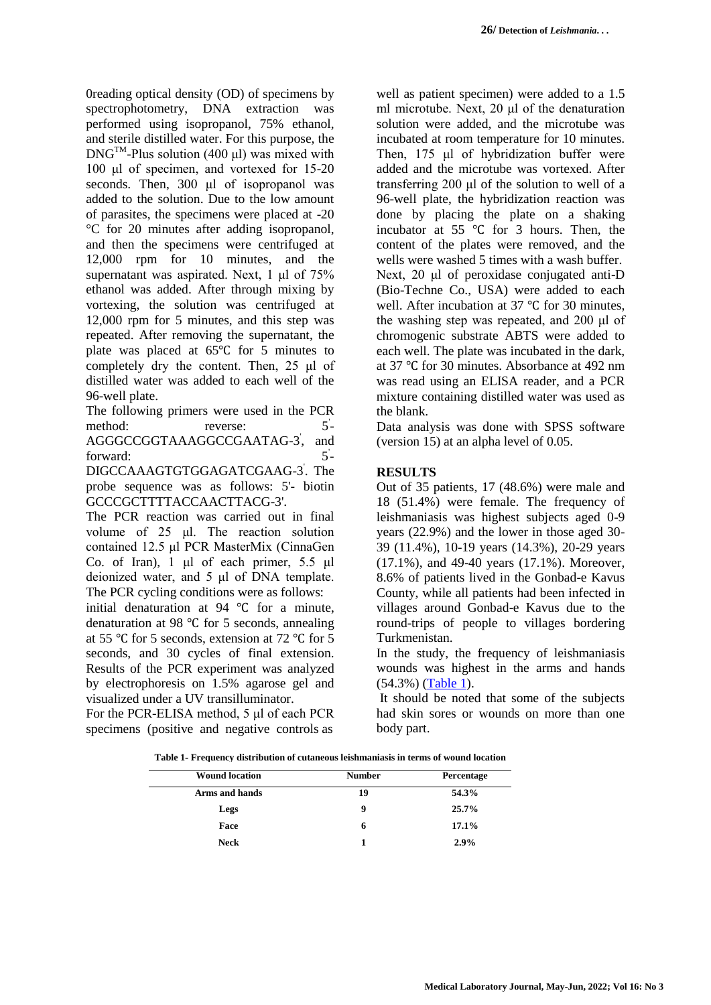0reading optical density (OD) of specimens by spectrophotometry, DNA extraction was performed using isopropanol, 75% ethanol, and sterile distilled water. For this purpose, the  $DNG^{TM}$ -Plus solution (400 μl) was mixed with 100 μl of specimen, and vortexed for 15-20 seconds. Then, 300 μl of isopropanol was added to the solution. Due to the low amount of parasites, the specimens were placed at -20 °C for 20 minutes after adding isopropanol, and then the specimens were centrifuged at 12,000 rpm for 10 minutes, and the supernatant was aspirated. Next, 1 μl of 75% ethanol was added. After through mixing by vortexing, the solution was centrifuged at 12,000 rpm for 5 minutes, and this step was repeated. After removing the supernatant, the plate was placed at 65℃ for 5 minutes to completely dry the content. Then, 25 μl of distilled water was added to each well of the 96-well plate.

The following primers were used in the PCR method: reverse:  $5^{\degree}$ AGGGCCGGTAAAGGCCGAATAG-3 ' , and forward:  $5 -$ 

DIGCCAAAGTGTGGAGATCGAAG-3 ' . The probe sequence was as follows: 5'- biotin GCCCGCTTTTACCAACTTACG-3'.

The PCR reaction was carried out in final volume of 25 μl. The reaction solution contained 12.5 μl PCR MasterMix (CinnaGen Co. of Iran), 1 μl of each primer, 5.5 μl deionized water, and 5 μl of DNA template. The PCR cycling conditions were as follows:

initial denaturation at 94 ℃ for a minute, denaturation at 98 ℃ for 5 seconds, annealing at 55 ℃ for 5 seconds, extension at 72 ℃ for 5 seconds, and 30 cycles of final extension. Results of the PCR experiment was analyzed by electrophoresis on 1.5% agarose gel and visualized under a UV transilluminator.

For the PCR-ELISA method, 5 μl of each PCR specimens (positive and negative controls as

well as patient specimen) were added to a 1.5 ml microtube. Next, 20 μl of the denaturation solution were added, and the microtube was incubated at room temperature for 10 minutes. Then, 175 μl of hybridization buffer were added and the microtube was vortexed. After transferring 200 μl of the solution to well of a 96-well plate, the hybridization reaction was done by placing the plate on a shaking incubator at 55 ℃ for 3 hours. Then, the content of the plates were removed, and the wells were washed 5 times with a wash buffer. Next, 20 μl of peroxidase conjugated anti-D (Bio-Techne Co., USA) were added to each well. After incubation at 37 ℃ for 30 minutes, the washing step was repeated, and 200 μl of chromogenic substrate ABTS were added to each well. The plate was incubated in the dark, at 37 ℃ for 30 minutes. Absorbance at 492 nm was read using an ELISA reader, and a PCR mixture containing distilled water was used as the blank.

Data analysis was done with SPSS software (version 15) at an alpha level of 0.05.

# **RESULTS**

Out of 35 patients, 17 (48.6%) were male and 18 (51.4%) were female. The frequency of leishmaniasis was highest subjects aged 0-9 years (22.9%) and the lower in those aged 30- 39 (11.4%), 10-19 years (14.3%), 20-29 years (17.1%), and 49-40 years (17.1%). Moreover, 8.6% of patients lived in the Gonbad-e Kavus County, while all patients had been infected in villages around Gonbad-e Kavus due to the round-trips of people to villages bordering Turkmenistan.

In the study, the frequency of leishmaniasis wounds was highest in the arms and hands (54.3%) [\(Table 1\)](#page-2-0).

It should be noted that some of the subjects had skin sores or wounds on more than one body part.

<span id="page-2-0"></span>**Table 1- Frequency distribution of cutaneous leishmaniasis in terms of wound location**

| <b>Wound location</b> | <b>Number</b> | Percentage |  |
|-----------------------|---------------|------------|--|
| Arms and hands        | 19            | 54.3%      |  |
| Legs                  | 9             | $25.7\%$   |  |
| Face                  | 6             | 17.1%      |  |
| <b>Neck</b>           |               | 2.9%       |  |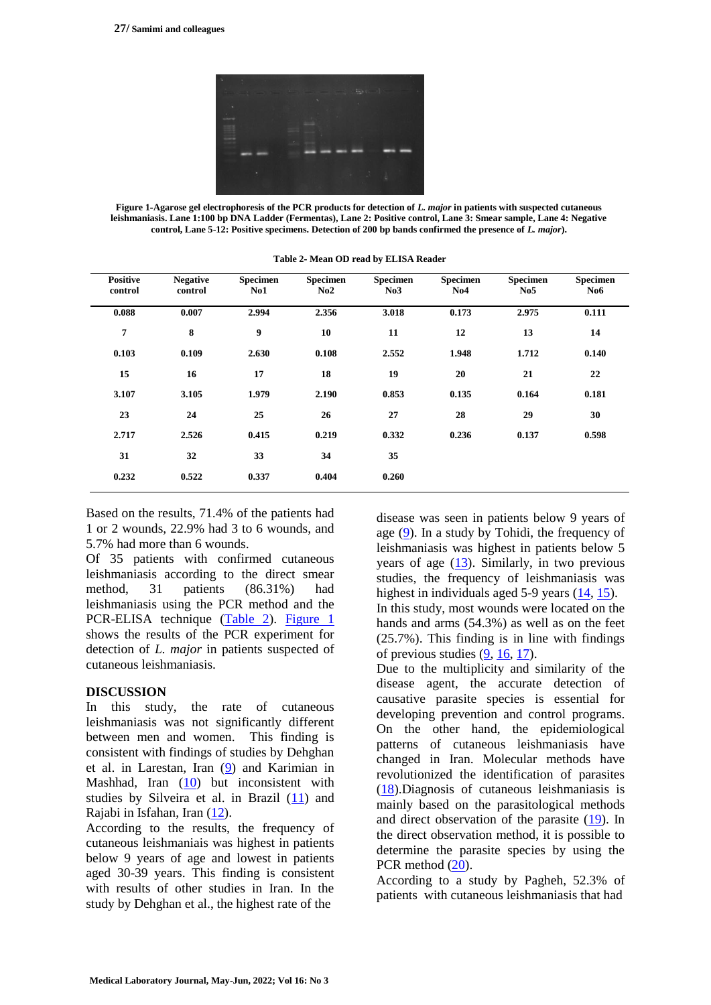

**Figure 1-Agarose gel electrophoresis of the PCR products for detection of** *L. major* **in patients with suspected cutaneous leishmaniasis. Lane 1:100 bp DNA Ladder (Fermentas), Lane 2: Positive control, Lane 3: Smear sample, Lane 4: Negative control, Lane 5-12: Positive specimens. Detection of 200 bp bands confirmed the presence of** *L. major***).**

<span id="page-3-1"></span><span id="page-3-0"></span>

| <b>Positive</b><br>control | <b>Negative</b><br>control | Specimen<br>$\bf No1$ | <b>Specimen</b><br>No2 | <b>Specimen</b><br>No3 | <b>Specimen</b><br>No4 | <b>Specimen</b><br>No5 | Specimen<br>No6 |
|----------------------------|----------------------------|-----------------------|------------------------|------------------------|------------------------|------------------------|-----------------|
| 0.088                      | 0.007                      | 2.994                 | 2.356                  | 3.018                  | 0.173                  | 2.975                  | 0.111           |
| 7                          | 8                          | 9                     | 10                     | 11                     | 12                     | 13                     | 14              |
| 0.103                      | 0.109                      | 2.630                 | 0.108                  | 2.552                  | 1.948                  | 1.712                  | 0.140           |
| 15                         | 16                         | 17                    | 18                     | 19                     | 20                     | 21                     | 22              |
| 3.107                      | 3.105                      | 1.979                 | 2.190                  | 0.853                  | 0.135                  | 0.164                  | 0.181           |
| 23                         | 24                         | 25                    | 26                     | 27                     | 28                     | 29                     | 30              |
| 2.717                      | 2.526                      | 0.415                 | 0.219                  | 0.332                  | 0.236                  | 0.137                  | 0.598           |
| 31                         | 32                         | 33                    | 34                     | 35                     |                        |                        |                 |
| 0.232                      | 0.522                      | 0.337                 | 0.404                  | 0.260                  |                        |                        |                 |

**Table 2- Mean OD read by ELISA Reader**

Based on the results, 71.4% of the patients had 1 or 2 wounds, 22.9% had 3 to 6 wounds, and 5.7% had more than 6 wounds.

Of 35 patients with confirmed cutaneous leishmaniasis according to the direct smear method, 31 patients (86.31%) had leishmaniasis using the PCR method and the PCR-ELISA technique [\(Table 2\)](#page-3-0). [Figure 1](#page-3-1) shows the results of the PCR experiment for detection of *L. major* in patients suspected of cutaneous leishmaniasis.

#### **DISCUSSION**

In this study, the rate of cutaneous leishmaniasis was not significantly different between men and women. This finding is consistent with findings of studies by Dehghan et al. in Larestan, Iran [\(9\)](#page-4-8) and Karimian in Mashhad, Iran [\(10\)](#page-4-9) but inconsistent with studies by Silveira et al. in Brazil [\(11\)](#page-5-8) and Rajabi in Isfahan, Iran [\(12\)](#page-5-9).

According to the results, the frequency of cutaneous leishmaniais was highest in patients below 9 years of age and lowest in patients aged 30-39 years. This finding is consistent with results of other studies in Iran. In the study by Dehghan et al., the highest rate of the

disease was seen in patients below 9 years of age [\(9\)](#page-4-8). In a study by Tohidi, the frequency of leishmaniasis was highest in patients below 5 years of age [\(13\)](#page-5-0). Similarly, in two previous studies, the frequency of leishmaniasis was highest in individuals aged 5-9 years [\(14,](#page-5-1) [15\)](#page-5-2). In this study, most wounds were located on the hands and arms (54.3%) as well as on the feet (25.7%). This finding is in line with findings of previous studies [\(9,](#page-4-8) [16,](#page-5-3) [17\)](#page-5-4).

Due to the multiplicity and similarity of the disease agent, the accurate detection of causative parasite species is essential for developing prevention and control programs. On the other hand, the epidemiological patterns of cutaneous leishmaniasis have changed in Iran. Molecular methods have revolutionized the identification of parasites [\(18\)](#page-5-5).Diagnosis of cutaneous leishmaniasis is mainly based on the parasitological methods and direct observation of the parasite [\(19\)](#page-5-6). In the direct observation method, it is possible to determine the parasite species by using the PCR method  $(20)$ .

According to a study by Pagheh, 52.3% of patients with cutaneous leishmaniasis that had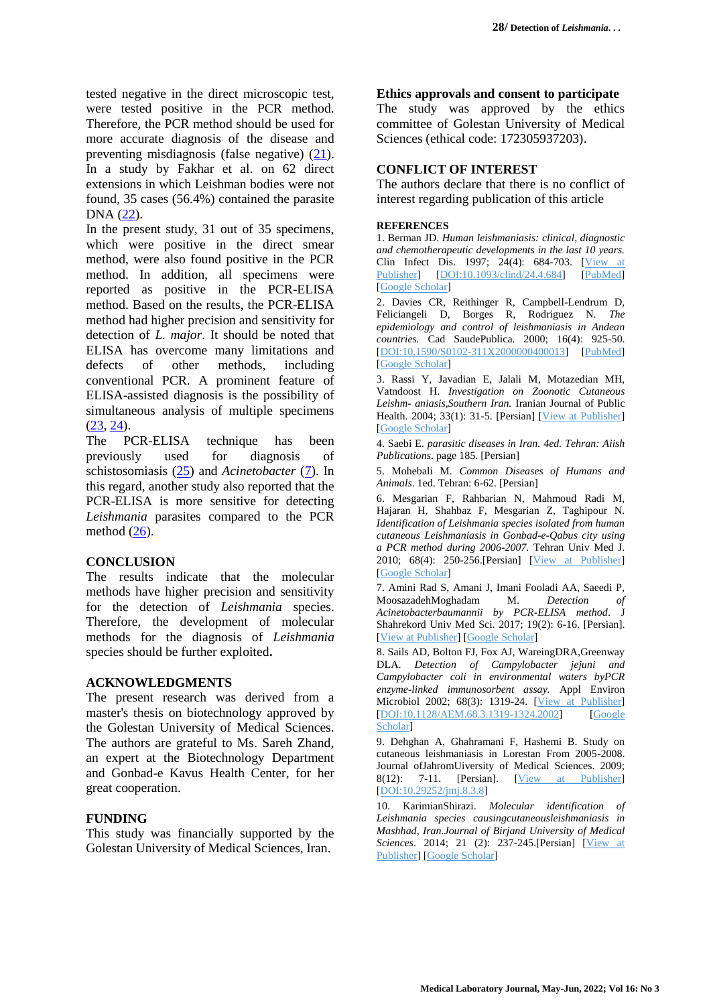tested negative in the direct microscopic test, were tested positive in the PCR method. Therefore, the PCR method should be used for more accurate diagnosis of the disease and preventing misdiagnosis (false negative) [\(21\)](#page-5-10). In a study by Fakhar et al. on 62 direct extensions in which Leishman bodies were not found, 35 cases (56.4%) contained the parasite DNA [\(22\)](#page-5-11).

In the present study, 31 out of 35 specimens, which were positive in the direct smear method, were also found positive in the PCR method. In addition, all specimens were reported as positive in the PCR-ELISA method. Based on the results, the PCR-ELISA method had higher precision and sensitivity for detection of *L. major*. It should be noted that ELISA has overcome many limitations and defects of other methods, including conventional PCR. A prominent feature of ELISA-assisted diagnosis is the possibility of simultaneous analysis of multiple specimens [\(23,](#page-5-12) [24\)](#page-5-13).

The PCR-ELISA technique has been previously used for diagnosis of schistosomiasis [\(25\)](#page-5-14) and *Acinetobacter* [\(7\)](#page-4-6). In this regard, another study also reported that the PCR-ELISA is more sensitive for detecting *Leishmania* parasites compared to the PCR method  $(26)$ .

### **CONCLUSION**

The results indicate that the molecular methods have higher precision and sensitivity for the detection of *Leishmania* species. Therefore, the development of molecular methods for the diagnosis of *Leishmania* species should be further exploited**.**

### **ACKNOWLEDGMENTS**

The present research was derived from a master's thesis on biotechnology approved by the Golestan University of Medical Sciences. The authors are grateful to Ms. Sareh Zhand, an expert at the Biotechnology Department and Gonbad-e Kavus Health Center, for her great cooperation.

### **FUNDING**

This study was financially supported by the Golestan University of Medical Sciences, Iran.

### **Ethics approvals and consent to participate**

The study was approved by the ethics committee of Golestan University of Medical Sciences (ethical code: 172305937203).

# **CONFLICT OF INTEREST**

The authors declare that there is no conflict of interest regarding publication of this article

### **REFERENCES**

<span id="page-4-0"></span>1. Berman JD. *Human leishmaniasis: clinical, diagnostic and chemotherapeutic developments in the last 10 years.* Clin Infect Dis. 1997; 24(4): 684-703. [\[View](https://academic.oup.com/cid/article/24/4/684/439989?login=true) at [Publisher\]](https://academic.oup.com/cid/article/24/4/684/439989?login=true) [\[DOI:10.1093/clind/24.4.684\]](https://doi.org/10.1093/clind/24.4.684) [\[PubMed\]](https://pubmed.ncbi.nlm.nih.gov/9145744/) [Google [Scholar\]](https://scholar.google.com/scholar?hl=en&as_sdt=0%2C5&q=Berman+JD.+Human+leishmaniasis%3A+clinical%2C+diagnostic+and+chemotherapeutic+developments+in+the+last+10+years.+Clin+Infect+Dis+1997%3B+24%284%29%3A+684-703.&btnG=)

<span id="page-4-1"></span>2. Davies CR, Reithinger R, Campbell-Lendrum D, Feliciangeli D, Borges R, Rodriguez N. *The epidemiology and control of leishmaniasis in Andean countries.* Cad SaudePublica. 2000; 16(4): 925-50. [\[DOI:10.1590/S0102-311X2000000400013\]](https://doi.org/10.1590/S0102-311X2000000400013) [\[PubMed\]](https://pubmed.ncbi.nlm.nih.gov/11175518/) [Google [Scholar\]](https://scholar.google.com/scholar?hl=en&as_sdt=0%2C5&q=Davies+CR%2C+Reithinger+R%2C+Campbell-Lendrum+D%2C+Feliciangeli+D%2C+Borges+R%2C+Rodriguez+N.+The+epidemiology+and+control+of+leishmaniasis+in+Andean+countries.+Cad+SaudePublica.+2000%3B+16%284%29%3A)

<span id="page-4-2"></span>3. Rassi Y, Javadian E, Jalali M, Motazedian MH, Vatndoost H. *Investigation on Zoonotic Cutaneous Leishm- aniasis,Southern Iran.* Iranian Journal of Public Health. 2004; 33(1): 31-5. [Persian] [View at [Publisher\]](https://ijph.tums.ac.ir/index.php/IJPH/article/view/1927) [Google [Scholar\]](https://scholar.google.com/scholar?hl=en&as_sdt=0%2C5&q=Rassi+Y%2C+Javadian+E%2C+Jalali+M%2C+Motazedian+MH%2C+Vatndoost+H.+Investigation+on+Zoonotic+Cutaneous+Leishm-+aniasis%2CSouthern+Iran.+Iranian+Journal+of+Public+Health.+2004%3B+33%281%29%3A+31-5.+%255)

<span id="page-4-3"></span>4. Saebi E. *parasitic diseases in Iran. 4ed. Tehran: Aiish Publications*. page 185. [Persian]

<span id="page-4-4"></span>5. Mohebali M. *Common Diseases of Humans and Animals*. 1ed. Tehran: 6-62. [Persian]

<span id="page-4-5"></span>6. Mesgarian F, Rahbarian N, Mahmoud Radi M, Hajaran H, Shahbaz F, Mesgarian Z, Taghipour N. *Identification of Leishmania species isolated from human cutaneous Leishmaniasis in Gonbad-e-Qabus city using a PCR method during 2006-2007.* Tehran Univ Med J. 2010; 68(4): 250-256.[Persian] [View at [Publisher\]](https://tumj.tums.ac.ir/article-1-355-en.html) [Google [Scholar\]](https://scholar.google.com/scholar?hl=en&as_sdt=0%2C5&q=Mesgarian+F.+Identification+of+Leishmaniaspecies+isolated+from+human+cutaneousLeishmaniasis+in+Gonbad-e-Qabus+city+using+a+PCR+method+during+2006-2007.Tehran+University+Medical+Journal%3B+Vol.+68%2C+)

<span id="page-4-6"></span>7. Amini Rad S, Amani J, Imani Fooladi AA, Saeedi P, MoosazadehMoghadam M. *Detection of Acinetobacterbaumannii by PCR-ELISA method*. J Shahrekord Univ Med Sci. 2017; 19(2): 6-16. [Persian]. [View at [Publisher\]](http://journal.skums.ac.ir/browse.php?a_code=A-10-1607-2&slc_lang=en&sid=1) [Google [Scholar\]](https://scholar.google.com/scholar?hl=en&as_sdt=0%2C5&q=Amini+Rad+S%2C+Amani+J%2C+Imani+Fooladi+AA%2C+Saeedi+P%2C+MoosazadehMoghadam+M.+Detection+of+Acinetobacterbaumannii+by+PCR-ELISA+method.+J+Shahrekord+Univ+Med+Sci.+2017%3B+19%282%29%3A+6-16.+%5BPersi)

<span id="page-4-7"></span>8. Sails AD, Bolton FJ, Fox AJ, WareingDRA,Greenway DLA. *Detection of Campylobacter jejuni and Campylobacter coli in environmental waters byPCR enzyme-linked immunosorbent assay.* Appl Environ Microbiol 2002; 68(3): 1319-24. [View at [Publisher\]](https://journals.asm.org/doi/10.1128/AEM.68.3.1319-1324.2002) [\[DOI:10.1128/AEM.68.3.1319-1324.2002\]](https://doi.org/10.1128/AEM.68.3.1319-1324.2002) [\[Google](https://scholar.google.com/scholar?hl=en&as_sdt=0%2C5&q=Sails+AD%2C+Bolton+FJ%2C+Fox+AJ%2C+WareingDRA%2CGreenway+DLA.+Detection+of+Campylobacter+jejuni+and+Campylobacter+coli+in+environmental+waters+byPCR+enzyme-linked+immunosorbent+assay.+Appl+Environ+Mi) [Scholar\]](https://scholar.google.com/scholar?hl=en&as_sdt=0%2C5&q=Sails+AD%2C+Bolton+FJ%2C+Fox+AJ%2C+WareingDRA%2CGreenway+DLA.+Detection+of+Campylobacter+jejuni+and+Campylobacter+coli+in+environmental+waters+byPCR+enzyme-linked+immunosorbent+assay.+Appl+Environ+Mi)

<span id="page-4-8"></span>9. Dehghan A, Ghahramani F, Hashemi B. Study on cutaneous leishmaniasis in Lorestan From 2005-2008. Journal ofJahromUiversity of Medical Sciences. 2009; 8(12): 7-11. [Persian]. [View at [Publisher\]](http://jmj.jums.ac.ir/article-1-712-en.html) [\[DOI:10.29252/jmj.8.3.8\]](https://doi.org/10.29252/jmj.8.3.8)

<span id="page-4-9"></span>10. KarimianShirazi. *Molecular identification of Leishmania species causingcutaneousleishmaniasis in Mashhad, Iran.Journal of Birjand University of Medical Sciences*. 2014; 21 (2): 237-245.[Persian] [\[View](http://journal.bums.ac.ir/article-1-1473-en.html) at [Publisher\]](http://journal.bums.ac.ir/article-1-1473-en.html) [Google [Scholar\]](https://scholar.google.com/scholar?hl=en&as_sdt=0%2C5&q=KarimianShirazi.Molecular+identification+of+Leishmania+species+causingcutaneousleishmaniasis+in+Mashhad%2C+Iran.Journal+of+Birjand+University+of+Medical+Sciences.+2014%3B+21+%282%29%3A+237-245.%5BPer)